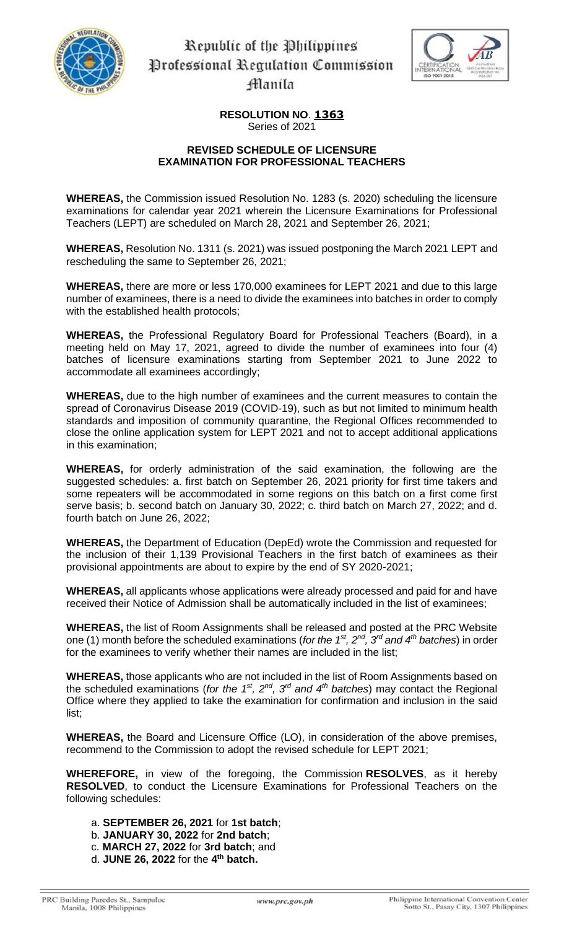

Republic of the Philippines Professional Regulation Commission Hanila



**RESOLUTION NO**. **1363** Series of 2021

## **REVISED SCHEDULE OF LICENSURE EXAMINATION FOR PROFESSIONAL TEACHERS**

**WHEREAS,** the Commission issued Resolution No. 1283 (s. 2020) scheduling the licensure examinations for calendar year 2021 wherein the Licensure Examinations for Professional Teachers (LEPT) are scheduled on March 28, 2021 and September 26, 2021;

**WHEREAS,** Resolution No. 1311 (s. 2021) was issued postponing the March 2021 LEPT and rescheduling the same to September 26, 2021;

**WHEREAS,** there are more or less 170,000 examinees for LEPT 2021 and due to this large number of examinees, there is a need to divide the examinees into batches in order to comply with the established health protocols;

**WHEREAS,** the Professional Regulatory Board for Professional Teachers (Board), in a meeting held on May 17, 2021, agreed to divide the number of examinees into four (4) batches of licensure examinations starting from September 2021 to June 2022 to accommodate all examinees accordingly;

**WHEREAS,** due to the high number of examinees and the current measures to contain the spread of Coronavirus Disease 2019 (COVID-19), such as but not limited to minimum health standards and imposition of community quarantine, the Regional Offices recommended to close the online application system for LEPT 2021 and not to accept additional applications in this examination;

**WHEREAS,** for orderly administration of the said examination, the following are the suggested schedules: a. first batch on September 26, 2021 priority for first time takers and some repeaters will be accommodated in some regions on this batch on a first come first serve basis; b. second batch on January 30, 2022; c. third batch on March 27, 2022; and d. fourth batch on June 26, 2022;

**WHEREAS,** the Department of Education (DepEd) wrote the Commission and requested for the inclusion of their 1,139 Provisional Teachers in the first batch of examinees as their provisional appointments are about to expire by the end of SY 2020-2021;

**WHEREAS,** all applicants whose applications were already processed and paid for and have received their Notice of Admission shall be automatically included in the list of examinees;

**WHEREAS,** the list of Room Assignments shall be released and posted at the PRC Website one (1) month before the scheduled examinations (*for the 1 st, 2nd, 3rd and 4th batches*) in order for the examinees to verify whether their names are included in the list;

**WHEREAS,** those applicants who are not included in the list of Room Assignments based on the scheduled examinations (*for the 1st, 2nd, 3rd and 4th batches*) may contact the Regional Office where they applied to take the examination for confirmation and inclusion in the said list;

**WHEREAS,** the Board and Licensure Office (LO), in consideration of the above premises, recommend to the Commission to adopt the revised schedule for LEPT 2021;

**WHEREFORE,** in view of the foregoing, the Commission **RESOLVES**, as it hereby **RESOLVED**, to conduct the Licensure Examinations for Professional Teachers on the following schedules:

a. **SEPTEMBER 26, 2021** for **1st batch**;

- b. **JANUARY 30, 2022** for **2nd batch**;
- c. **MARCH 27, 2022** for **3rd batch**; and
- d. **JUNE 26, 2022** for the **4 th batch.**